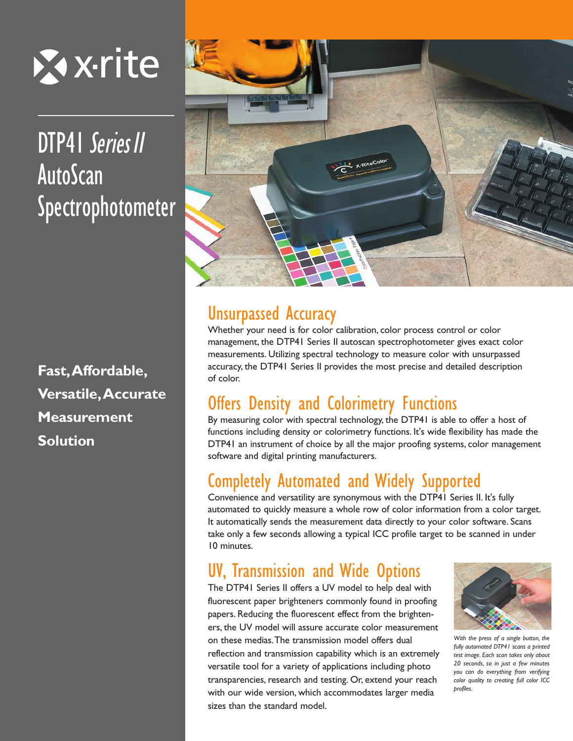

# DTP41 Series II AutoScan Spectrophotometer

**Fast,Affordable, Versatile,Accurate Measurement Solution**



# Unsurpassed Accuracy

Whether your need is for color calibration, color process control or color management, the DTP41 Series II autoscan spectrophotometer gives exact color measurements. Utilizing spectral technology to measure color with unsurpassed accuracy, the DTP41 Series II provides the most precise and detailed description of color.

# Offers Density and Colorimetry Functions

By measuring color with spectral technology, the DTP41 is able to offer a host of functions including density or colorimetry functions. It's wide flexibility has made the DTP41 an instrument of choice by all the major proofing systems, color management software and digital printing manufacturers.

# Completely Automated and Widely Supported

Convenience and versatility are synonymous with the DTP41 Series II. It's fully automated to quickly measure a whole row of color information from a color target. It automatically sends the measurement data directly to your color software. Scans take only a few seconds allowing a typical ICC profile target to be scanned in under 10 minutes.

# UV, Transmission and Wide Options

The DTP41 Series II offers a UV model to help deal with fluorescent paper brighteners commonly found in proofing papers. Reducing the fluorescent effect from the brighteners, the UV model will assure accurate color measurement on these medias.The transmission model offers dual reflection and transmission capability which is an extremely versatile tool for a variety of applications including photo transparencies, research and testing. Or, extend your reach with our wide version, which accommodates larger media sizes than the standard model.



*With the press of a single button, the fully automated DTP41 scans a printed test image. Each scan takes only about 20 seconds, so in just a few minutes you can do everything from verifying color quality to creating full color ICC profiles.*